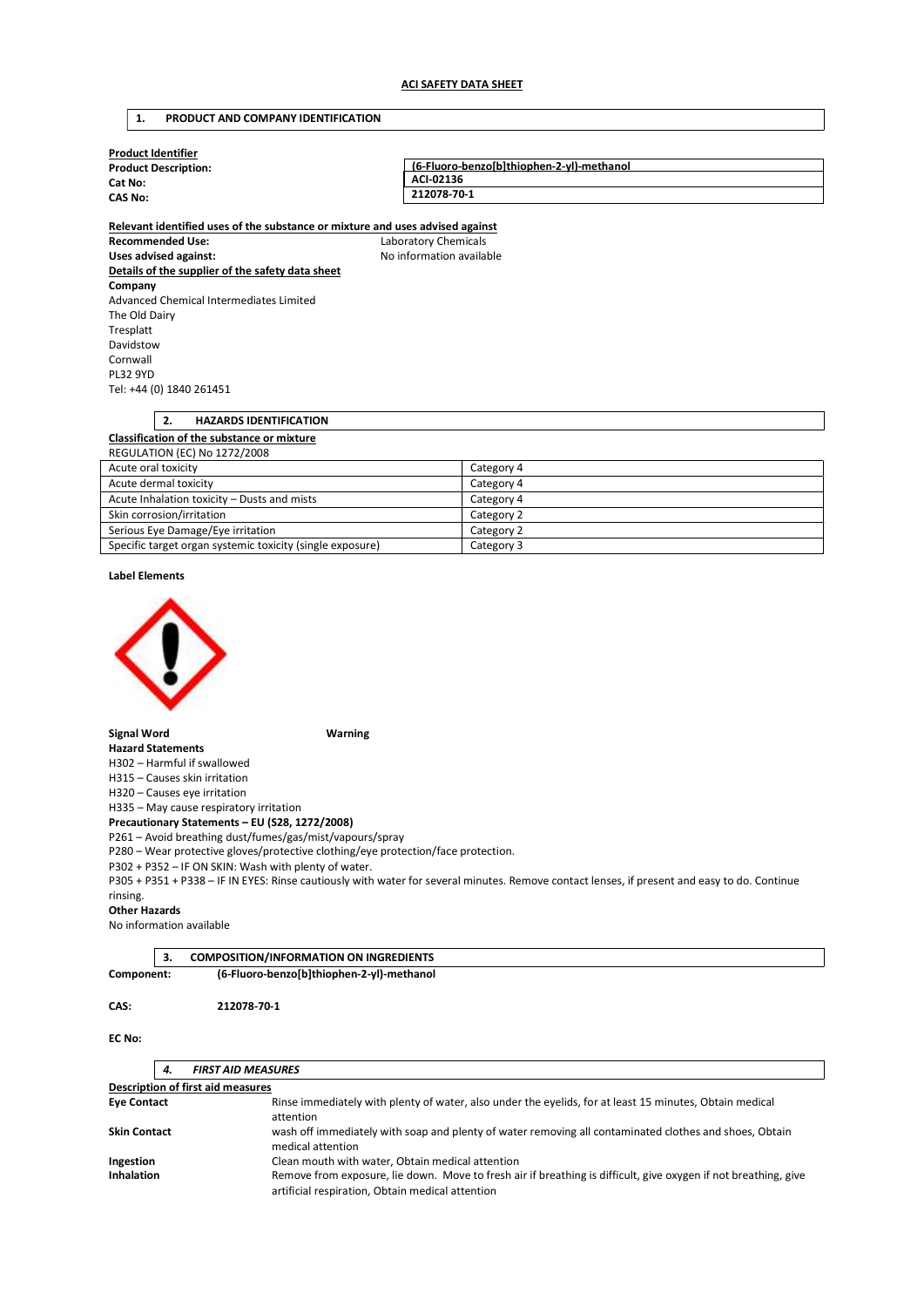### 1. PRODUCT AND COMPANY IDENTIFICATION

| <b>Product Identifier</b>   |                                           |  |
|-----------------------------|-------------------------------------------|--|
| <b>Product Description:</b> | (6-Fluoro-benzo[b]thiophen-2-yl)-methanol |  |
| Cat No:                     | ACI-02136                                 |  |
| <b>CAS No:</b>              | 212078-70-1                               |  |
|                             |                                           |  |

Relevant identified uses of the substance or mixture and uses advised against Recommended Use: Laboratory Chemicals Uses advised against: No information available Details of the supplier of the safety data sheet Company Advanced Chemical Intermediates Limited The Old Dairy Tresplatt Davidstow Cornwall PL32 9YD Tel: +44 (0) 1840 261451

| 2.<br><b>HAZARDS IDENTIFICATION</b>                       |            |  |
|-----------------------------------------------------------|------------|--|
| Classification of the substance or mixture                |            |  |
| <b>REGULATION (EC) No 1272/2008</b>                       |            |  |
| Acute oral toxicity                                       | Category 4 |  |
| Acute dermal toxicity                                     | Category 4 |  |
| Acute Inhalation toxicity - Dusts and mists               | Category 4 |  |
| Skin corrosion/irritation                                 | Category 2 |  |
| Serious Eye Damage/Eye irritation                         | Category 2 |  |
| Specific target organ systemic toxicity (single exposure) | Category 3 |  |

### Label Elements



### Signal Word Warning

Hazard Statements H302 – Harmful if swallowed

H315 – Causes skin irritation

H320 – Causes eye irritation

H335 – May cause respiratory irritation

Precautionary Statements – EU (S28, 1272/2008)

P261 – Avoid breathing dust/fumes/gas/mist/vapours/spray

P280 – Wear protective gloves/protective clothing/eye protection/face protection.

P302 + P352 – IF ON SKIN: Wash with plenty of water.

P305 + P351 + P338 – IF IN EYES: Rinse cautiously with water for several minutes. Remove contact lenses, if present and easy to do. Continue rinsing.

### Other Hazards

No information available

|            | <b>COMPOSITION/INFORMATION ON INGREDIENTS</b> |  |
|------------|-----------------------------------------------|--|
| Component: | (6-Fluoro-benzo[b]thiophen-2-yl)-methanol     |  |

#### CAS: 212078-70-1

### EC No:

|                                                               | 4. | <b>FIRST AID MEASURES</b>                                                                                                                                           |
|---------------------------------------------------------------|----|---------------------------------------------------------------------------------------------------------------------------------------------------------------------|
|                                                               |    | <b>Description of first aid measures</b>                                                                                                                            |
| <b>Eye Contact</b>                                            |    | Rinse immediately with plenty of water, also under the eyelids, for at least 15 minutes, Obtain medical<br>attention                                                |
| <b>Skin Contact</b>                                           |    | wash off immediately with soap and plenty of water removing all contaminated clothes and shoes, Obtain<br>medical attention                                         |
| Clean mouth with water, Obtain medical attention<br>Ingestion |    |                                                                                                                                                                     |
| <b>Inhalation</b>                                             |    | Remove from exposure, lie down. Move to fresh air if breathing is difficult, give oxygen if not breathing, give<br>artificial respiration, Obtain medical attention |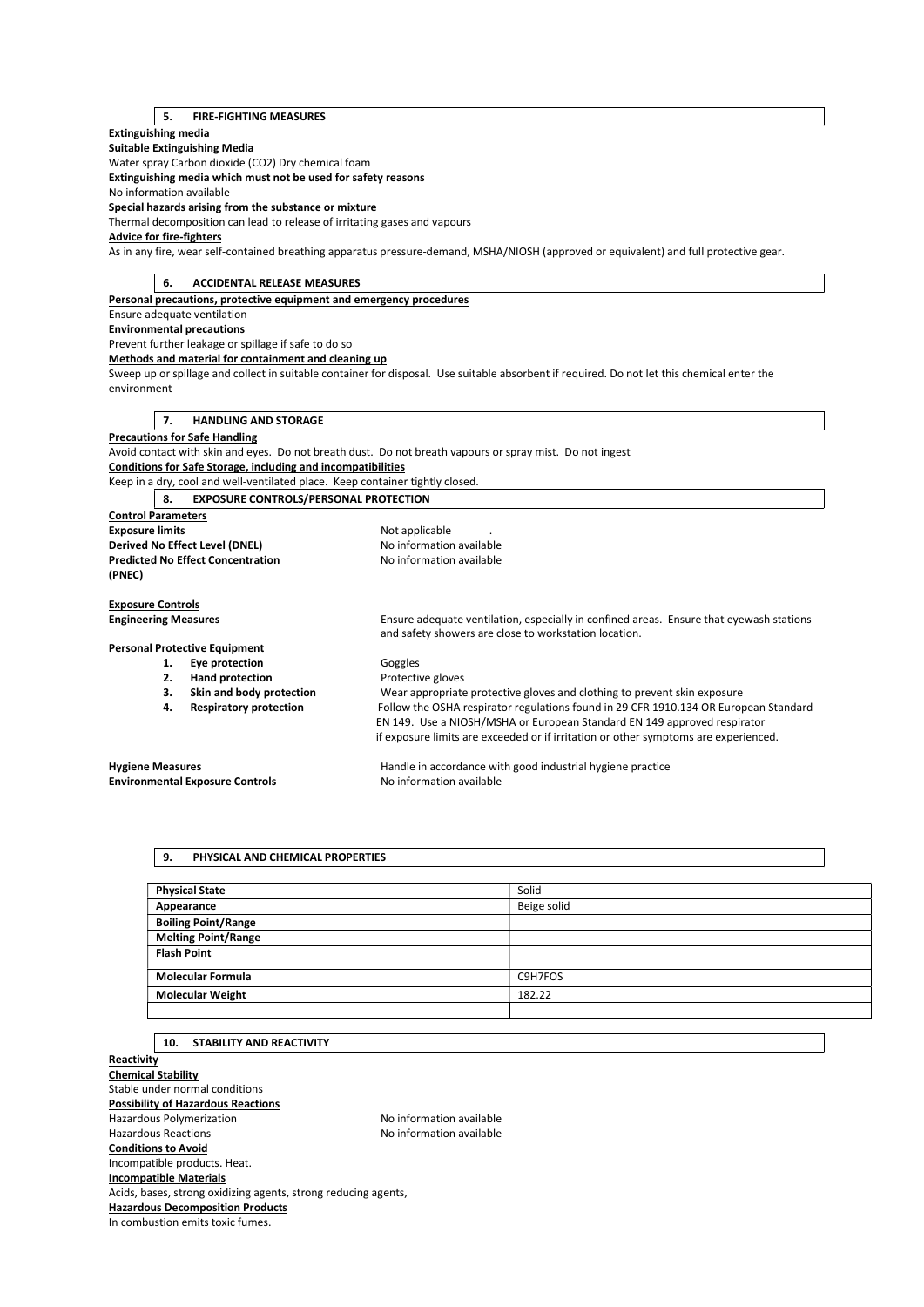# 5. FIRE-FIGHTING MEASURES

## Extinguishing media

Suitable Extinguishing Media Water spray Carbon dioxide (CO2) Dry chemical foam

Extinguishing media which must not be used for safety reasons

No information available

Special hazards arising from the substance or mixture

Thermal decomposition can lead to release of irritating gases and vapours

### Advice for fire-fighters

As in any fire, wear self-contained breathing apparatus pressure-demand, MSHA/NIOSH (approved or equivalent) and full protective gear.

| 6.                               | <b>ACCIDENTAL RELEASE MEASURES</b>                                            |                                                                                                                                             |  |
|----------------------------------|-------------------------------------------------------------------------------|---------------------------------------------------------------------------------------------------------------------------------------------|--|
|                                  | Personal precautions, protective equipment and emergency procedures           |                                                                                                                                             |  |
| Ensure adequate ventilation      |                                                                               |                                                                                                                                             |  |
| <b>Environmental precautions</b> |                                                                               |                                                                                                                                             |  |
|                                  | Prevent further leakage or spillage if safe to do so                          |                                                                                                                                             |  |
|                                  | Methods and material for containment and cleaning up                          |                                                                                                                                             |  |
|                                  |                                                                               | Sweep up or spillage and collect in suitable container for disposal. Use suitable absorbent if required. Do not let this chemical enter the |  |
| environment                      |                                                                               |                                                                                                                                             |  |
|                                  |                                                                               |                                                                                                                                             |  |
| 7.                               | <b>HANDLING AND STORAGE</b>                                                   |                                                                                                                                             |  |
|                                  | <b>Precautions for Safe Handling</b>                                          |                                                                                                                                             |  |
|                                  |                                                                               | Avoid contact with skin and eyes. Do not breath dust. Do not breath vapours or spray mist. Do not ingest                                    |  |
|                                  | <b>Conditions for Safe Storage, including and incompatibilities</b>           |                                                                                                                                             |  |
|                                  | Keep in a dry, cool and well-ventilated place. Keep container tightly closed. |                                                                                                                                             |  |
| 8.                               | <b>EXPOSURE CONTROLS/PERSONAL PROTECTION</b>                                  |                                                                                                                                             |  |
| <b>Control Parameters</b>        |                                                                               |                                                                                                                                             |  |
| <b>Exposure limits</b>           |                                                                               | Not applicable                                                                                                                              |  |
|                                  | Derived No Effect Level (DNEL)                                                | No information available                                                                                                                    |  |
|                                  | <b>Predicted No Effect Concentration</b>                                      | No information available                                                                                                                    |  |
| (PNEC)                           |                                                                               |                                                                                                                                             |  |
|                                  |                                                                               |                                                                                                                                             |  |
| <b>Exposure Controls</b>         |                                                                               |                                                                                                                                             |  |
| <b>Engineering Measures</b>      |                                                                               | Ensure adequate ventilation, especially in confined areas. Ensure that eyewash stations                                                     |  |
|                                  |                                                                               | and safety showers are close to workstation location.                                                                                       |  |
|                                  | <b>Personal Protective Equipment</b>                                          |                                                                                                                                             |  |
| 1.                               | Eye protection                                                                | Goggles                                                                                                                                     |  |
| 2.                               | <b>Hand protection</b>                                                        | Protective gloves                                                                                                                           |  |
| 3.                               | Skin and body protection                                                      | Wear appropriate protective gloves and clothing to prevent skin exposure                                                                    |  |
| 4.                               | <b>Respiratory protection</b>                                                 | Follow the OSHA respirator regulations found in 29 CFR 1910.134 OR European Standard                                                        |  |
|                                  |                                                                               | EN 149. Use a NIOSH/MSHA or European Standard EN 149 approved respirator                                                                    |  |
|                                  |                                                                               | if exposure limits are exceeded or if irritation or other symptoms are experienced.                                                         |  |
| <b>Hygiene Measures</b>          |                                                                               | Handle in accordance with good industrial hygiene practice                                                                                  |  |
|                                  | <b>Environmental Exposure Controls</b>                                        | No information available                                                                                                                    |  |
|                                  |                                                                               |                                                                                                                                             |  |

# 9. PHYSICAL AND CHEMICAL PROPERTIES

| <b>Physical State</b>      | Solid       |
|----------------------------|-------------|
| Appearance                 | Beige solid |
| <b>Boiling Point/Range</b> |             |
| <b>Melting Point/Range</b> |             |
| <b>Flash Point</b>         |             |
|                            |             |
| <b>Molecular Formula</b>   | C9H7FOS     |
| <b>Molecular Weight</b>    | 182.22      |
|                            |             |

# 10. STABILITY AND REACTIVITY

**Reactivity** Chemical Stability Stable under normal conditions Possibility of Hazardous Reactions Hazardous Polymerization and the No information available<br>Hazardous Reactions available No information available No information available Conditions to Avoid Incompatible products. Heat. Incompatible Materials Acids, bases, strong oxidizing agents, strong reducing agents, Hazardous Decomposition Products In combustion emits toxic fumes.